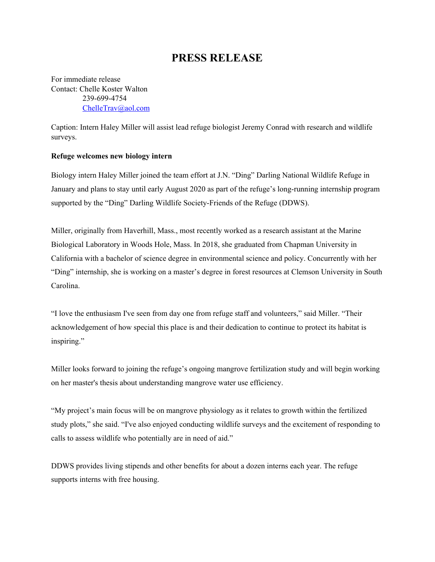## **PRESS RELEASE**

For immediate release Contact: Chelle Koster Walton 239-699-4754 [ChelleTrav@aol.com](mailto:ChelleTrav@aol.com)

Caption: Intern Haley Miller will assist lead refuge biologist Jeremy Conrad with research and wildlife surveys.

## **Refuge welcomes new biology intern**

Biology intern Haley Miller joined the team effort at J.N. "Ding" Darling National Wildlife Refuge in January and plans to stay until early August 2020 as part of the refuge's long-running internship program supported by the "Ding" Darling Wildlife Society-Friends of the Refuge (DDWS).

Miller, originally from Haverhill, Mass., most recently worked as a research assistant at the Marine Biological Laboratory in Woods Hole, Mass. In 2018, she graduated from Chapman University in California with a bachelor of science degree in environmental science and policy. Concurrently with her "Ding" internship, she is working on a master's degree in forest resources at Clemson University in South Carolina.

"I love the enthusiasm I've seen from day one from refuge staff and volunteers," said Miller. "Their acknowledgement of how special this place is and their dedication to continue to protect its habitat is inspiring."

Miller looks forward to joining the refuge's ongoing mangrove fertilization study and will begin working on her master's thesis about understanding mangrove water use efficiency.

"My project's main focus will be on mangrove physiology as it relates to growth within the fertilized study plots," she said. "I've also enjoyed conducting wildlife surveys and the excitement of responding to calls to assess wildlife who potentially are in need of aid."

DDWS provides living stipends and other benefits for about a dozen interns each year. The refuge supports interns with free housing.